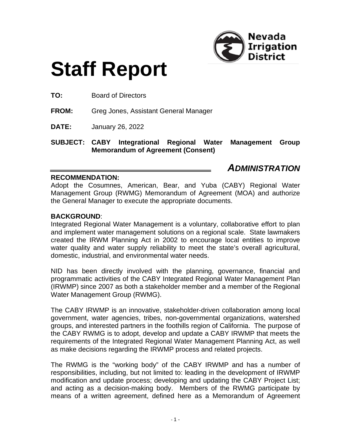

# **Staff Report**

**TO:** Board of Directors

**FROM:** Greg Jones, Assistant General Manager

**DATE:** January 26, 2022

**SUBJECT: CABY Integrational Regional Water Management Group Memorandum of Agreement (Consent)**

# *ADMINISTRATION*

#### **RECOMMENDATION:**

Adopt the Cosumnes, American, Bear, and Yuba (CABY) Regional Water Management Group (RWMG) Memorandum of Agreement (MOA) and authorize the General Manager to execute the appropriate documents.

#### **BACKGROUND**:

Integrated Regional Water Management is a voluntary, collaborative effort to plan and implement water management solutions on a regional scale. State lawmakers created the IRWM Planning Act in 2002 to encourage local entities to improve water quality and water supply reliability to meet the state's overall agricultural, domestic, industrial, and environmental water needs.

NID has been directly involved with the planning, governance, financial and programmatic activities of the CABY Integrated Regional Water Management Plan (IRWMP) since 2007 as both a stakeholder member and a member of the Regional Water Management Group (RWMG).

The CABY IRWMP is an innovative, stakeholder-driven collaboration among local government, water agencies, tribes, non-governmental organizations, watershed groups, and interested partners in the foothills region of California. The purpose of the CABY RWMG is to adopt, develop and update a CABY IRWMP that meets the requirements of the Integrated Regional Water Management Planning Act, as well as make decisions regarding the IRWMP process and related projects.

The RWMG is the "working body" of the CABY IRWMP and has a number of responsibilities, including, but not limited to: leading in the development of IRWMP modification and update process; developing and updating the CABY Project List; and acting as a decision-making body. Members of the RWMG participate by means of a written agreement, defined here as a Memorandum of Agreement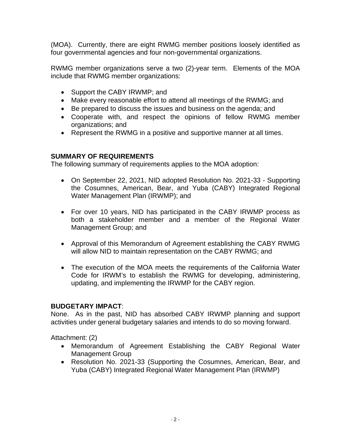(MOA). Currently, there are eight RWMG member positions loosely identified as four governmental agencies and four non-governmental organizations.

RWMG member organizations serve a two (2)-year term. Elements of the MOA include that RWMG member organizations:

- Support the CABY IRWMP; and
- Make every reasonable effort to attend all meetings of the RWMG; and
- Be prepared to discuss the issues and business on the agenda; and
- Cooperate with, and respect the opinions of fellow RWMG member organizations; and
- Represent the RWMG in a positive and supportive manner at all times.

# **SUMMARY OF REQUIREMENTS**

The following summary of requirements applies to the MOA adoption:

- On September 22, 2021, NID adopted Resolution No. 2021-33 Supporting the Cosumnes, American, Bear, and Yuba (CABY) Integrated Regional Water Management Plan (IRWMP); and
- For over 10 years, NID has participated in the CABY IRWMP process as both a stakeholder member and a member of the Regional Water Management Group; and
- Approval of this Memorandum of Agreement establishing the CABY RWMG will allow NID to maintain representation on the CABY RWMG; and
- The execution of the MOA meets the requirements of the California Water Code for IRWM's to establish the RWMG for developing, administering, updating, and implementing the IRWMP for the CABY region.

# **BUDGETARY IMPACT**:

None. As in the past, NID has absorbed CABY IRWMP planning and support activities under general budgetary salaries and intends to do so moving forward.

Attachment: (2)

- Memorandum of Agreement Establishing the CABY Regional Water Management Group
- Resolution No. 2021-33 (Supporting the Cosumnes, American, Bear, and Yuba (CABY) Integrated Regional Water Management Plan (IRWMP)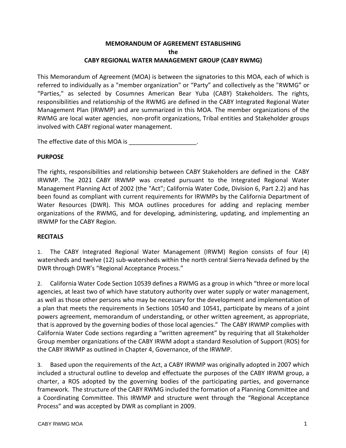#### **MEMORANDUM OF AGREEMENT ESTABLISHING the CABY REGIONAL WATER MANAGEMENT GROUP (CABY RWMG)**

This Memorandum of Agreement (MOA) is between the signatories to this MOA, each of which is referred to individually as a "member organization" or "Party" and collectively as the "RWMG" or "Parties," as selected by Cosumnes American Bear Yuba (CABY) Stakeholders. The rights, responsibilities and relationship of the RWMG are defined in the CABY Integrated Regional Water Management Plan (IRWMP) and are summarized in this MOA. The member organizations of the RWMG are local water agencies, non-profit organizations, Tribal entities and Stakeholder groups involved with CABY regional water management.

The effective date of this MOA is **EXACTLE 10** Fig.

#### **PURPOSE**

The rights, responsibilities and relationship between CABY Stakeholders are defined in the CABY IRWMP. The 2021 CABY IRWMP was created pursuant to the Integrated Regional Water Management Planning Act of 2002 (the "Act"; California Water Code, Division 6, Part 2.2) and has been found as compliant with current requirements for IRWMPs by the California Department of Water Resources (DWR). This MOA outlines procedures for adding and replacing member organizations of the RWMG, and for developing, administering, updating, and implementing an IRWMP for the CABY Region.

#### **RECITALS**

1. The CABY Integrated Regional Water Management (IRWM) Region consists of four (4) watersheds and twelve (12) sub-watersheds within the north central Sierra Nevada defined by the DWR through DWR's "Regional Acceptance Process."

2. California Water Code Section 10539 defines a RWMG as a group in which "three or more local agencies, at least two of which have statutory authority over water supply or water management, as well as those other persons who may be necessary for the development and implementation of a plan that meets the requirements in Sections 10540 and 10541, participate by means of a joint powers agreement, memorandum of understanding, or other written agreement, as appropriate, that is approved by the governing bodies of those local agencies." The CABY IRWMP complies with California Water Code sections regarding a "written agreement" by requiring that all Stakeholder Group member organizations of the CABY IRWM adopt a standard Resolution of Support (ROS) for the CABY IRWMP as outlined in Chapter 4, Governance, of the IRWMP.

3. Based upon the requirements of the Act, a CABY IRWMP was originally adopted in 2007 which included a structural outline to develop and effectuate the purposes of the CABY IRWM group, a charter, a ROS adopted by the governing bodies of the participating parties, and governance framework. The structure of the CABY RWMG included the formation of a Planning Committee and a Coordinating Committee. This IRWMP and structure went through the "Regional Acceptance Process" and was accepted by DWR as compliant in 2009.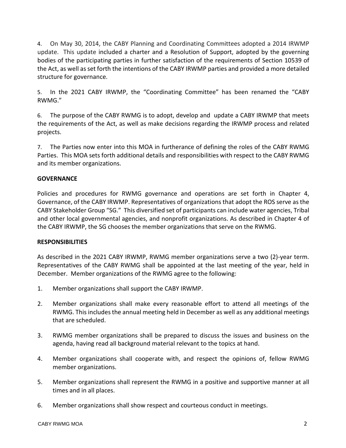4. On May 30, 2014, the CABY Planning and Coordinating Committees adopted a 2014 IRWMP update. This update included a charter and a Resolution of Support, adopted by the governing bodies of the participating parties in further satisfaction of the requirements of Section 10539 of the Act, as well as set forth the intentions of the CABY IRWMP parties and provided a more detailed structure for governance.

5. In the 2021 CABY IRWMP, the "Coordinating Committee" has been renamed the "CABY RWMG."

6. The purpose of the CABY RWMG is to adopt, develop and update a CABY IRWMP that meets the requirements of the Act, as well as make decisions regarding the IRWMP process and related projects.

7. The Parties now enter into this MOA in furtherance of defining the roles of the CABY RWMG Parties. This MOA sets forth additional details and responsibilities with respect to the CABY RWMG and its member organizations.

#### **GOVERNANCE**

Policies and procedures for RWMG governance and operations are set forth in Chapter 4, Governance, of the CABY IRWMP. Representatives of organizations that adopt the ROS serve as the CABY Stakeholder Group "SG." This diversified set of participants can include water agencies, Tribal and other local governmental agencies, and nonprofit organizations. As described in Chapter 4 of the CABY IRWMP, the SG chooses the member organizations that serve on the RWMG.

#### **RESPONSIBILITIES**

As described in the 2021 CABY IRWMP, RWMG member organizations serve a two (2)-year term. Representatives of the CABY RWMG shall be appointed at the last meeting of the year, held in December. Member organizations of the RWMG agree to the following:

- 1. Member organizations shall support the CABY IRWMP.
- 2. Member organizations shall make every reasonable effort to attend all meetings of the RWMG. This includes the annual meeting held in December as well as any additional meetings that are scheduled.
- 3. RWMG member organizations shall be prepared to discuss the issues and business on the agenda, having read all background material relevant to the topics at hand.
- 4. Member organizations shall cooperate with, and respect the opinions of, fellow RWMG member organizations.
- 5. Member organizations shall represent the RWMG in a positive and supportive manner at all times and in all places.
- 6. Member organizations shall show respect and courteous conduct in meetings.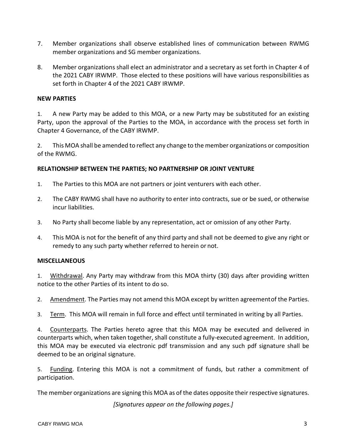- 7. Member organizations shall observe established lines of communication between RWMG member organizations and SG member organizations.
- 8. Member organizations shall elect an administrator and a secretary as set forth in Chapter 4 of the 2021 CABY IRWMP. Those elected to these positions will have various responsibilities as set forth in Chapter 4 of the 2021 CABY IRWMP.

#### **NEW PARTIES**

1. A new Party may be added to this MOA, or a new Party may be substituted for an existing Party, upon the approval of the Parties to the MOA, in accordance with the process set forth in Chapter 4 Governance, of the CABY IRWMP.

2. This MOA shall be amended to reflect any change to the member organizations or composition of the RWMG.

#### **RELATIONSHIP BETWEEN THE PARTIES; NO PARTNERSHIP OR JOINT VENTURE**

- 1. The Parties to this MOA are not partners or joint venturers with each other.
- 2. The CABY RWMG shall have no authority to enter into contracts, sue or be sued, or otherwise incur liabilities.
- 3. No Party shall become liable by any representation, act or omission of any other Party.
- 4. This MOA is not for the benefit of any third party and shall not be deemed to give any right or remedy to any such party whether referred to herein or not.

#### **MISCELLANEOUS**

1. Withdrawal. Any Party may withdraw from this MOA thirty (30) days after providing written notice to the other Parties of its intent to do so.

2. Amendment. The Parties may not amend this MOA except by written agreementof the Parties.

3. Term. This MOA will remain in full force and effect until terminated in writing by all Parties.

4. Counterparts. The Parties hereto agree that this MOA may be executed and delivered in counterparts which, when taken together, shall constitute a fully-executed agreement. In addition, this MOA may be executed via electronic pdf transmission and any such pdf signature shall be deemed to be an original signature.

5. Funding. Entering this MOA is not a commitment of funds, but rather a commitment of participation.

The member organizations are signing this MOA as of the dates opposite their respective signatures.

*[Signatures appear on the following pages.]*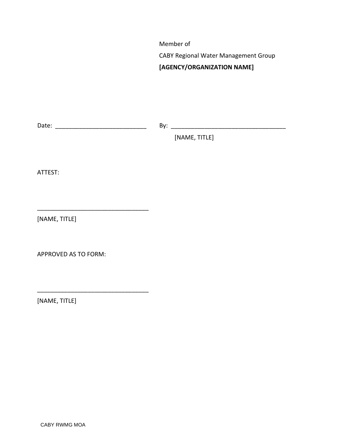Member of

CABY Regional Water Management Group

#### **[AGENCY/ORGANIZATION NAME]**

Date: \_\_\_\_\_\_\_\_\_\_\_\_\_\_\_\_\_\_\_\_\_\_\_\_\_\_\_ By: \_\_\_\_\_\_\_\_\_\_\_\_\_\_\_\_\_\_\_\_\_\_\_\_\_\_\_\_\_\_\_\_\_\_

\_\_\_\_\_\_\_\_\_\_\_\_\_\_\_\_\_\_\_\_\_\_\_\_\_\_\_\_\_\_\_\_\_

\_\_\_\_\_\_\_\_\_\_\_\_\_\_\_\_\_\_\_\_\_\_\_\_\_\_\_\_\_\_\_\_\_

[NAME, TITLE]

ATTEST:

[NAME, TITLE]

APPROVED AS TO FORM:

[NAME, TITLE]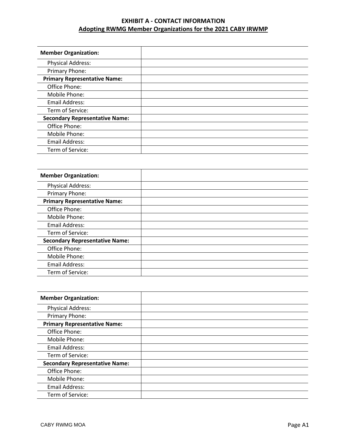# **EXHIBIT A - CONTACT INFORMATION Adopting RWMG Member Organizations for the 2021 CABY IRWMP**

| <b>Member Organization:</b>           |  |
|---------------------------------------|--|
| <b>Physical Address:</b>              |  |
| Primary Phone:                        |  |
| <b>Primary Representative Name:</b>   |  |
| Office Phone:                         |  |
| Mobile Phone:                         |  |
| <b>Email Address:</b>                 |  |
| Term of Service:                      |  |
| <b>Secondary Representative Name:</b> |  |
| Office Phone:                         |  |
| Mobile Phone:                         |  |
| <b>Email Address:</b>                 |  |
| Term of Service:                      |  |

| <b>Member Organization:</b>           |  |
|---------------------------------------|--|
| <b>Physical Address:</b>              |  |
| Primary Phone:                        |  |
| <b>Primary Representative Name:</b>   |  |
| Office Phone:                         |  |
| Mobile Phone:                         |  |
| <b>Email Address:</b>                 |  |
| Term of Service:                      |  |
| <b>Secondary Representative Name:</b> |  |
| Office Phone:                         |  |
| Mobile Phone:                         |  |
| <b>Email Address:</b>                 |  |
| Term of Service:                      |  |

| <b>Member Organization:</b>           |  |
|---------------------------------------|--|
| <b>Physical Address:</b>              |  |
| Primary Phone:                        |  |
| <b>Primary Representative Name:</b>   |  |
| Office Phone:                         |  |
| Mobile Phone:                         |  |
| <b>Email Address:</b>                 |  |
| Term of Service:                      |  |
| <b>Secondary Representative Name:</b> |  |
| Office Phone:                         |  |
| Mobile Phone:                         |  |
| <b>Email Address:</b>                 |  |
| Term of Service:                      |  |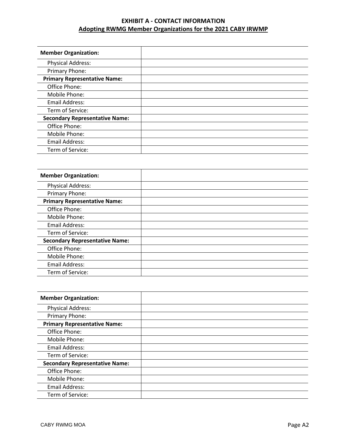# **EXHIBIT A - CONTACT INFORMATION Adopting RWMG Member Organizations for the 2021 CABY IRWMP**

| <b>Member Organization:</b>           |  |
|---------------------------------------|--|
| <b>Physical Address:</b>              |  |
| Primary Phone:                        |  |
| <b>Primary Representative Name:</b>   |  |
| Office Phone:                         |  |
| Mobile Phone:                         |  |
| <b>Email Address:</b>                 |  |
| Term of Service:                      |  |
| <b>Secondary Representative Name:</b> |  |
| Office Phone:                         |  |
| Mobile Phone:                         |  |
| <b>Email Address:</b>                 |  |
| Term of Service:                      |  |

| <b>Member Organization:</b>           |  |
|---------------------------------------|--|
| <b>Physical Address:</b>              |  |
| Primary Phone:                        |  |
| <b>Primary Representative Name:</b>   |  |
| Office Phone:                         |  |
| Mobile Phone:                         |  |
| <b>Email Address:</b>                 |  |
| Term of Service:                      |  |
| <b>Secondary Representative Name:</b> |  |
| Office Phone:                         |  |
| Mobile Phone:                         |  |
| <b>Email Address:</b>                 |  |
| Term of Service:                      |  |

| <b>Member Organization:</b>           |  |
|---------------------------------------|--|
| <b>Physical Address:</b>              |  |
| Primary Phone:                        |  |
| <b>Primary Representative Name:</b>   |  |
| Office Phone:                         |  |
| Mobile Phone:                         |  |
| <b>Email Address:</b>                 |  |
| Term of Service:                      |  |
| <b>Secondary Representative Name:</b> |  |
| Office Phone:                         |  |
| Mobile Phone:                         |  |
| <b>Email Address:</b>                 |  |
| Term of Service:                      |  |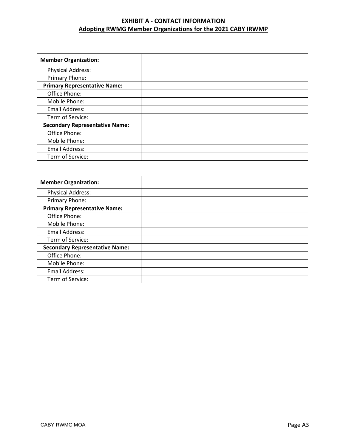# **EXHIBIT A - CONTACT INFORMATION Adopting RWMG Member Organizations for the 2021 CABY IRWMP**

| <b>Member Organization:</b>           |  |
|---------------------------------------|--|
| <b>Physical Address:</b>              |  |
| Primary Phone:                        |  |
| <b>Primary Representative Name:</b>   |  |
| Office Phone:                         |  |
| Mobile Phone:                         |  |
| <b>Email Address:</b>                 |  |
| Term of Service:                      |  |
| <b>Secondary Representative Name:</b> |  |
| Office Phone:                         |  |
| Mobile Phone:                         |  |
| <b>Email Address:</b>                 |  |
| Term of Service:                      |  |

| <b>Member Organization:</b>           |  |
|---------------------------------------|--|
| <b>Physical Address:</b>              |  |
| Primary Phone:                        |  |
| <b>Primary Representative Name:</b>   |  |
| Office Phone:                         |  |
| Mobile Phone:                         |  |
| <b>Email Address:</b>                 |  |
| Term of Service:                      |  |
| <b>Secondary Representative Name:</b> |  |
| Office Phone:                         |  |
| Mobile Phone:                         |  |
| <b>Email Address:</b>                 |  |
| Term of Service:                      |  |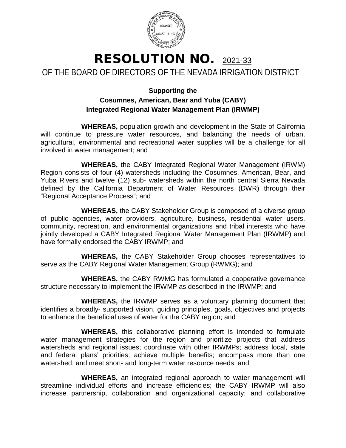

# RESOLUTION NO. 2021-33 OF THE BOARD OF DIRECTORS OF THE NEVADA IRRIGATION DISTRICT

# **Supporting the Cosumnes, American, Bear and Yuba (CABY) Integrated Regional Water Management Plan (IRWMP)**

**WHEREAS,** population growth and development in the State of California will continue to pressure water resources, and balancing the needs of urban, agricultural, environmental and recreational water supplies will be a challenge for all involved in water management; and

**WHEREAS,** the CABY Integrated Regional Water Management (IRWM) Region consists of four (4) watersheds including the Cosumnes, American, Bear, and Yuba Rivers and twelve (12) sub‐ watersheds within the north central Sierra Nevada defined by the California Department of Water Resources (DWR) through their "Regional Acceptance Process"; and

**WHEREAS,** the CABY Stakeholder Group is composed of a diverse group of public agencies, water providers, agriculture, business, residential water users, community, recreation, and environmental organizations and tribal interests who have jointly developed a CABY Integrated Regional Water Management Plan (IRWMP) and have formally endorsed the CABY IRWMP; and

**WHEREAS,** the CABY Stakeholder Group chooses representatives to serve as the CABY Regional Water Management Group (RWMG); and

**WHEREAS,** the CABY RWMG has formulated a cooperative governance structure necessary to implement the IRWMP as described in the IRWMP; and

**WHEREAS,** the IRWMP serves as a voluntary planning document that identifies a broadly‐ supported vision, guiding principles, goals, objectives and projects to enhance the beneficial uses of water for the CABY region; and

**WHEREAS,** this collaborative planning effort is intended to formulate water management strategies for the region and prioritize projects that address watersheds and regional issues; coordinate with other IRWMPs; address local, state and federal plans' priorities; achieve multiple benefits; encompass more than one watershed; and meet short- and long-term water resource needs; and

**WHEREAS,** an integrated regional approach to water management will streamline individual efforts and increase efficiencies; the CABY IRWMP will also increase partnership, collaboration and organizational capacity; and collaborative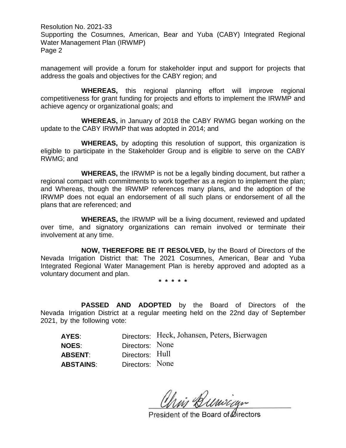Resolution No. 2021-33 Supporting the Cosumnes, American, Bear and Yuba (CABY) Integrated Regional Water Management Plan (IRWMP) Page 2

management will provide a forum for stakeholder input and support for projects that address the goals and objectives for the CABY region; and

**WHEREAS,** this regional planning effort will improve regional competitiveness for grant funding for projects and efforts to implement the IRWMP and achieve agency or organizational goals; and

**WHEREAS,** in January of 2018 the CABY RWMG began working on the update to the CABY IRWMP that was adopted in 2014; and

**WHEREAS,** by adopting this resolution of support, this organization is eligible to participate in the Stakeholder Group and is eligible to serve on the CABY RWMG; and

**WHEREAS,** the IRWMP is not be a legally binding document, but rather a regional compact with commitments to work together as a region to implement the plan; and Whereas, though the IRWMP references many plans, and the adoption of the IRWMP does not equal an endorsement of all such plans or endorsement of all the plans that are referenced; and

**WHEREAS,** the IRWMP will be a living document, reviewed and updated over time, and signatory organizations can remain involved or terminate their involvement at any time.

**NOW, THEREFORE BE IT RESOLVED,** by the Board of Directors of the Nevada Irrigation District that: The 2021 Cosumnes, American, Bear and Yuba Integrated Regional Water Management Plan is hereby approved and adopted as a voluntary document and plan.

**\* \* \* \* \***

**PASSED AND ADOPTED** by the Board of Directors of the Nevada Irrigation District at a regular meeting held on the 22nd day of September 2021, by the following vote:

|                 | Directors: Heck, Johansen, Peters, Bierwagen |
|-----------------|----------------------------------------------|
|                 |                                              |
|                 |                                              |
| Directors: None |                                              |
|                 | Directors: None<br>Directors: Hull           |

in Bunican

President of the Board of Øirectors